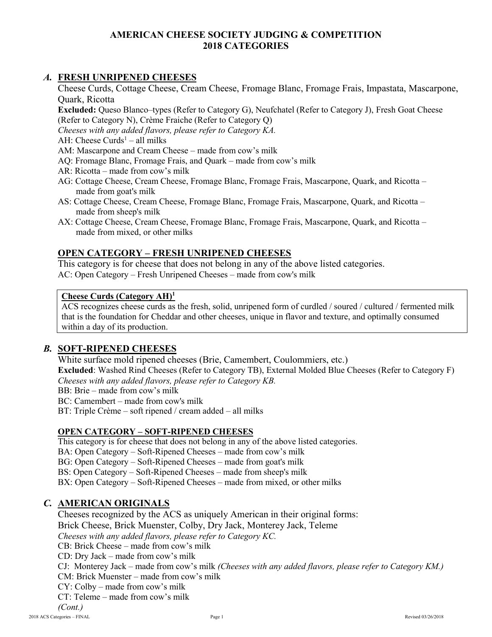### **AMERICAN CHEESE SOCIETY JUDGING & COMPETITION 2018 CATEGORIES**

### *A.* **FRESH UNRIPENED CHEESES**

Cheese Curds, Cottage Cheese, Cream Cheese, Fromage Blanc, Fromage Frais, Impastata, Mascarpone, Quark, Ricotta

**Excluded:** Queso Blanco–types (Refer to Category G), Neufchatel (Refer to Category J), Fresh Goat Cheese (Refer to Category N), Crème Fraiche (Refer to Category Q)

*Cheeses with any added flavors, please refer to Category KA.*

AH: Cheese Curds<sup>1</sup> – all milks

AM: Mascarpone and Cream Cheese – made from cow's milk

- AQ: Fromage Blanc, Fromage Frais, and Quark made from cow's milk
- AR: Ricotta made from cow's milk
- AG: Cottage Cheese, Cream Cheese, Fromage Blanc, Fromage Frais, Mascarpone, Quark, and Ricotta made from goat's milk
- AS: Cottage Cheese, Cream Cheese, Fromage Blanc, Fromage Frais, Mascarpone, Quark, and Ricotta made from sheep's milk
- AX: Cottage Cheese, Cream Cheese, Fromage Blanc, Fromage Frais, Mascarpone, Quark, and Ricotta made from mixed, or other milks

### **OPEN CATEGORY – FRESH UNRIPENED CHEESES**

This category is for cheese that does not belong in any of the above listed categories. AC: Open Category – Fresh Unripened Cheeses – made from cow's milk

#### **Cheese Curds (Category AH)<sup>1</sup>**

ACS recognizes cheese curds as the fresh, solid, unripened form of curdled / soured / cultured / fermented milk that is the foundation for Cheddar and other cheeses, unique in flavor and texture, and optimally consumed within a day of its production.

## *B.* **SOFT-RIPENED CHEESES**

White surface mold ripened cheeses (Brie, Camembert, Coulommiers, etc.) **Excluded**: Washed Rind Cheeses (Refer to Category TB), External Molded Blue Cheeses (Refer to Category F) *Cheeses with any added flavors, please refer to Category KB.*

BB: Brie – made from cow's milk

BC: Camembert – made from cow's milk

BT: Triple Crème – soft ripened / cream added – all milks

#### **OPEN CATEGORY – SOFT-RIPENED CHEESES**

This category is for cheese that does not belong in any of the above listed categories.

BA: Open Category – Soft-Ripened Cheeses – made from cow's milk

BG: Open Category – Soft-Ripened Cheeses – made from goat's milk

BS: Open Category – Soft-Ripened Cheeses – made from sheep's milk

BX: Open Category – Soft-Ripened Cheeses – made from mixed, or other milks

#### *C.* **AMERICAN ORIGINALS**

Cheeses recognized by the ACS as uniquely American in their original forms: Brick Cheese, Brick Muenster, Colby, Dry Jack, Monterey Jack, Teleme *Cheeses with any added flavors, please refer to Category KC.*  $CB$ : Brick Cheese – made from cow's milk CD: Dry Jack – made from cow's milk CJ: Monterey Jack – made from cow's milk *(Cheeses with any added flavors, please refer to Category KM.)* CM: Brick Muenster – made from cow's milk CY: Colby – made from cow's milk

CT: Teleme – made from cow's milk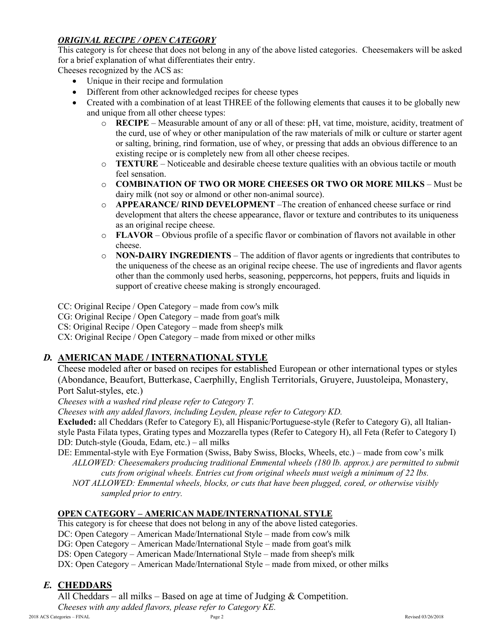## *ORIGINAL RECIPE / OPEN CATEGORY*

This category is for cheese that does not belong in any of the above listed categories. Cheesemakers will be asked for a brief explanation of what differentiates their entry.

Cheeses recognized by the ACS as:

- Unique in their recipe and formulation
- Different from other acknowledged recipes for cheese types
- Created with a combination of at least THREE of the following elements that causes it to be globally new and unique from all other cheese types:
	- o **RECIPE** Measurable amount of any or all of these: pH, vat time, moisture, acidity, treatment of the curd, use of whey or other manipulation of the raw materials of milk or culture or starter agent or salting, brining, rind formation, use of whey, or pressing that adds an obvious difference to an existing recipe or is completely new from all other cheese recipes.
	- o **TEXTURE** Noticeable and desirable cheese texture qualities with an obvious tactile or mouth feel sensation.
	- o **COMBINATION OF TWO OR MORE CHEESES OR TWO OR MORE MILKS** Must be dairy milk (not soy or almond or other non-animal source).
	- o **APPEARANCE/ RIND DEVELOPMENT** –The creation of enhanced cheese surface or rind development that alters the cheese appearance, flavor or texture and contributes to its uniqueness as an original recipe cheese.
	- o **FLAVOR** Obvious profile of a specific flavor or combination of flavors not available in other cheese.
	- o **NON-DAIRY INGREDIENTS** The addition of flavor agents or ingredients that contributes to the uniqueness of the cheese as an original recipe cheese. The use of ingredients and flavor agents other than the commonly used herbs, seasoning, peppercorns, hot peppers, fruits and liquids in support of creative cheese making is strongly encouraged.

CC: Original Recipe / Open Category – made from cow's milk

CG: Original Recipe / Open Category – made from goat's milk

CS: Original Recipe / Open Category – made from sheep's milk

CX: Original Recipe / Open Category – made from mixed or other milks

## *D.* **AMERICAN MADE / INTERNATIONAL STYLE**

Cheese modeled after or based on recipes for established European or other international types or styles (Abondance, Beaufort, Butterkase, Caerphilly, English Territorials, Gruyere, Juustoleipa, Monastery, Port Salut-styles, etc.)

*Cheeses with a washed rind please refer to Category T.*

*Cheeses with any added flavors, including Leyden, please refer to Category KD.*

**Excluded:** all Cheddars (Refer to Category E), all Hispanic/Portuguese-style (Refer to Category G), all Italianstyle Pasta Filata types, Grating types and Mozzarella types (Refer to Category H), all Feta (Refer to Category I) DD: Dutch-style (Gouda, Edam, etc.) – all milks

DE: Emmental-style with Eye Formation (Swiss, Baby Swiss, Blocks, Wheels, etc.) – made from cow's milk *ALLOWED: Cheesemakers producing traditional Emmental wheels (180 lb. approx.) are permitted to submit cuts from original wheels. Entries cut from original wheels must weigh a minimum of 22 lbs.*

*NOT ALLOWED: Emmental wheels, blocks, or cuts that have been plugged, cored, or otherwise visibly sampled prior to entry.*

## **OPEN CATEGORY – AMERICAN MADE/INTERNATIONAL STYLE**

This category is for cheese that does not belong in any of the above listed categories.

DC: Open Category – American Made/International Style – made from cow's milk

DG: Open Category – American Made/International Style – made from goat's milk

DS: Open Category – American Made/International Style – made from sheep's milk

DX: Open Category – American Made/International Style – made from mixed, or other milks

## *E.* **CHEDDARS**

All Cheddars – all milks – Based on age at time of Judging  $&$  Competition.

*Cheeses with any added flavors, please refer to Category KE.*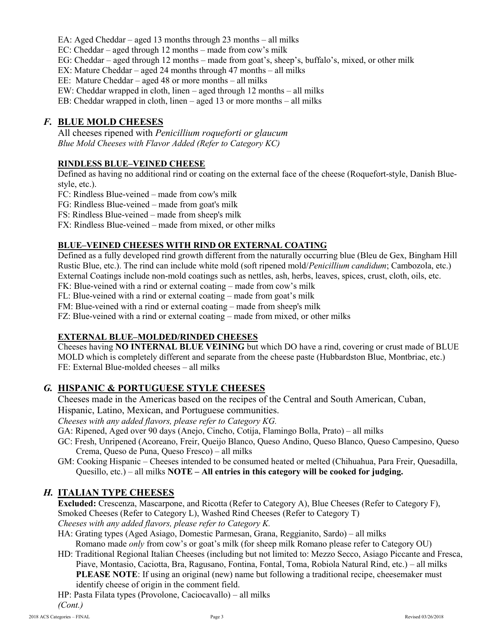EA: Aged Cheddar – aged 13 months through 23 months – all milks

EC: Cheddar – aged through 12 months – made from cow's milk

- EG: Cheddar aged through 12 months made from goat's, sheep's, buffalo's, mixed, or other milk
- EX: Mature Cheddar aged 24 months through 47 months all milks

EE: Mature Cheddar – aged 48 or more months – all milks

EW: Cheddar wrapped in cloth, linen – aged through 12 months – all milks

EB: Cheddar wrapped in cloth, linen – aged 13 or more months – all milks

### *F.* **BLUE MOLD CHEESES**

All cheeses ripened with *Penicillium roqueforti or glaucum Blue Mold Cheeses with Flavor Added (Refer to Category KC)*

#### **RINDLESS BLUE–VEINED CHEESE**

Defined as having no additional rind or coating on the external face of the cheese (Roquefort-style, Danish Bluestyle, etc.).

FC: Rindless Blue-veined – made from cow's milk

FG: Rindless Blue-veined – made from goat's milk

FS: Rindless Blue-veined – made from sheep's milk

FX: Rindless Blue-veined – made from mixed, or other milks

### **BLUE–VEINED CHEESES WITH RIND OR EXTERNAL COATING**

Defined as a fully developed rind growth different from the naturally occurring blue (Bleu de Gex, Bingham Hill Rustic Blue, etc.). The rind can include white mold (soft ripened mold/*Penicillium candidum*; Cambozola, etc.) External Coatings include non-mold coatings such as nettles, ash, herbs, leaves, spices, crust, cloth, oils, etc.

FK: Blue-veined with a rind or external coating – made from cow's milk

FL: Blue-veined with a rind or external coating – made from goat's milk

FM: Blue-veined with a rind or external coating – made from sheep's milk

FZ: Blue-veined with a rind or external coating – made from mixed, or other milks

#### **EXTERNAL BLUE–MOLDED/RINDED CHEESES**

Cheeses having **NO INTERNAL BLUE VEINING** but which DO have a rind, covering or crust made of BLUE MOLD which is completely different and separate from the cheese paste (Hubbardston Blue, Montbriac, etc.) FE: External Blue-molded cheeses – all milks

#### *G.* **HISPANIC & PORTUGUESE STYLE CHEESES**

Cheeses made in the Americas based on the recipes of the Central and South American, Cuban,

Hispanic, Latino, Mexican, and Portuguese communities.

*Cheeses with any added flavors, please refer to Category KG.*

GA: Ripened, Aged over 90 days (Anejo, Cincho, Cotija, Flamingo Bolla, Prato) – all milks

- GC: Fresh, Unripened (Acoreano, Freir, Queijo Blanco, Queso Andino, Queso Blanco, Queso Campesino, Queso Crema, Queso de Puna, Queso Fresco) – all milks
- GM: Cooking Hispanic Cheeses intended to be consumed heated or melted (Chihuahua, Para Freir, Quesadilla, Quesillo, etc.) – all milks **NOTE – All entries in this category will be cooked for judging.**

## *H.* **ITALIAN TYPE CHEESES**

**Excluded:** Crescenza, Mascarpone, and Ricotta (Refer to Category A), Blue Cheeses (Refer to Category F), Smoked Cheeses (Refer to Category L), Washed Rind Cheeses (Refer to Category T) *Cheeses with any added flavors, please refer to Category K.*

- HA: Grating types (Aged Asiago, Domestic Parmesan, Grana, Reggianito, Sardo) all milks Romano made *only* from cow's or goat's milk (for sheep milk Romano please refer to Category OU)
- HD: Traditional Regional Italian Cheeses (including but not limited to: Mezzo Secco, Asiago Piccante and Fresca, Piave, Montasio, Caciotta, Bra, Ragusano, Fontina, Fontal, Toma, Robiola Natural Rind, etc.) – all milks **PLEASE NOTE:** If using an original (new) name but following a traditional recipe, cheesemaker must identify cheese of origin in the comment field.

HP: Pasta Filata types (Provolone, Caciocavallo) – all milks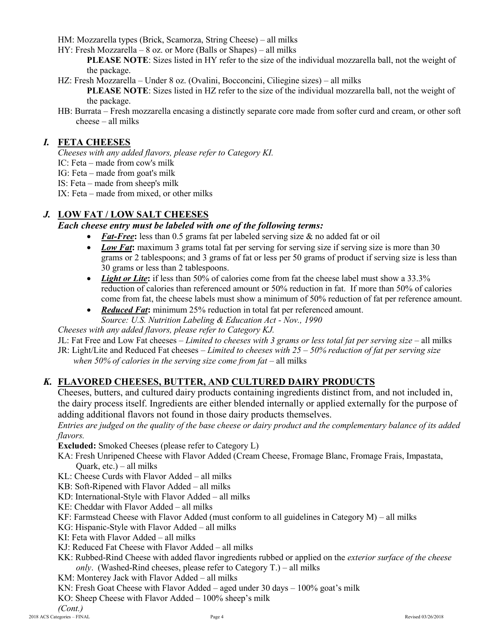HM: Mozzarella types (Brick, Scamorza, String Cheese) – all milks

HY: Fresh Mozzarella – 8 oz. or More (Balls or Shapes) – all milks

**PLEASE NOTE:** Sizes listed in HY refer to the size of the individual mozzarella ball, not the weight of the package.

HZ: Fresh Mozzarella – Under 8 oz. (Ovalini, Bocconcini, Ciliegine sizes) – all milks

**PLEASE NOTE:** Sizes listed in HZ refer to the size of the individual mozzarella ball, not the weight of the package.

HB: Burrata – Fresh mozzarella encasing a distinctly separate core made from softer curd and cream, or other soft cheese – all milks

# *I.* **FETA CHEESES**

*Cheeses with any added flavors, please refer to Category KI.*

IC: Feta – made from cow's milk

IG: Feta – made from goat's milk

IS: Feta – made from sheep's milk

IX: Feta – made from mixed, or other milks

# *J.* **LOW FAT / LOW SALT CHEESES**

## *Each cheese entry must be labeled with one of the following terms:*

- Fat-Free: less than 0.5 grams fat per labeled serving size & no added fat or oil
- *Low Fat*: maximum 3 grams total fat per serving for serving size if serving size is more than 30 grams or 2 tablespoons; and 3 grams of fat or less per 50 grams of product if serving size is less than 30 grams or less than 2 tablespoons.
- *Light or Lite*: if less than 50% of calories come from fat the cheese label must show a 33.3% reduction of calories than referenced amount or 50% reduction in fat. If more than 50% of calories come from fat, the cheese labels must show a minimum of 50% reduction of fat per reference amount.
- *Reduced Fat***:** minimum 25% reduction in total fat per referenced amount. *Source: U.S. Nutrition Labeling & Education Act - Nov., 1990*

*Cheeses with any added flavors, please refer to Category KJ.*

JL: Fat Free and Low Fat cheeses – *Limited to cheeses with 3 grams or less total fat per serving size* – all milks

JR: Light/Lite and Reduced Fat cheeses – *Limited to cheeses with 25 – 50% reduction of fat per serving size* when 50% of calories in the serving size come from fat – all milks

# *K.* **FLAVORED CHEESES, BUTTER, AND CULTURED DAIRY PRODUCTS**

Cheeses, butters, and cultured dairy products containing ingredients distinct from, and not included in, the dairy process itself. Ingredients are either blended internally or applied externally for the purpose of adding additional flavors not found in those dairy products themselves.

*Entries are judged on the quality of the base cheese or dairy product and the complementary balance of its added flavors.*

**Excluded:** Smoked Cheeses (please refer to Category L)

- KA: Fresh Unripened Cheese with Flavor Added (Cream Cheese, Fromage Blanc, Fromage Frais, Impastata, Quark, etc.) – all milks
- KL: Cheese Curds with Flavor Added all milks
- KB: Soft-Ripened with Flavor Added all milks
- KD: International-Style with Flavor Added all milks
- KE: Cheddar with Flavor Added all milks
- KF: Farmstead Cheese with Flavor Added (must conform to all guidelines in Category M) all milks
- KG: Hispanic-Style with Flavor Added all milks
- KI: Feta with Flavor Added all milks
- KJ: Reduced Fat Cheese with Flavor Added all milks
- KK: Rubbed-Rind Cheese with added flavor ingredients rubbed or applied on the *exterior surface of the cheese only*. (Washed-Rind cheeses, please refer to Category T.) – all milks
- KM: Monterey Jack with Flavor Added all milks
- KN: Fresh Goat Cheese with Flavor Added aged under 30 days 100% goat's milk

KO: Sheep Cheese with Flavor Added – 100% sheep's milk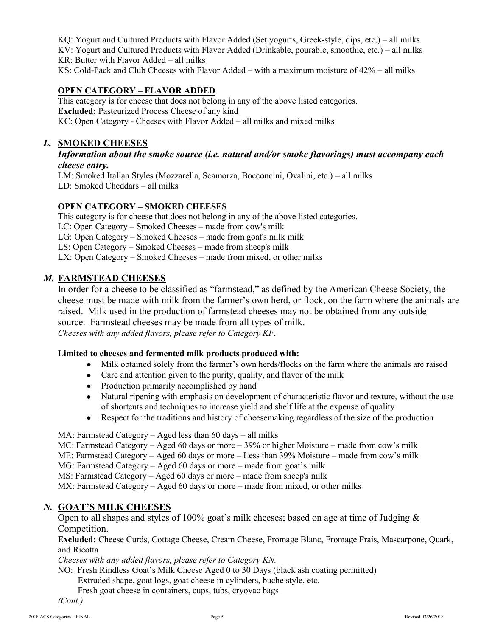KQ: Yogurt and Cultured Products with Flavor Added (Set yogurts, Greek-style, dips, etc.) – all milks KV: Yogurt and Cultured Products with Flavor Added (Drinkable, pourable, smoothie, etc.) – all milks KR: Butter with Flavor Added – all milks

## KS: Cold-Pack and Club Cheeses with Flavor Added – with a maximum moisture of 42% – all milks

# **OPEN CATEGORY – FLAVOR ADDED**

This category is for cheese that does not belong in any of the above listed categories. **Excluded:** Pasteurized Process Cheese of any kind KC: Open Category - Cheeses with Flavor Added – all milks and mixed milks

# *L.* **SMOKED CHEESES**

### *Information about the smoke source (i.e. natural and/or smoke flavorings) must accompany each cheese entry.*

LM: Smoked Italian Styles (Mozzarella, Scamorza, Bocconcini, Ovalini, etc.) – all milks LD: Smoked Cheddars – all milks

# **OPEN CATEGORY – SMOKED CHEESES**

This category is for cheese that does not belong in any of the above listed categories. LC: Open Category – Smoked Cheeses – made from cow's milk LG: Open Category – Smoked Cheeses – made from goat's milk milk LS: Open Category – Smoked Cheeses – made from sheep's milk LX: Open Category – Smoked Cheeses – made from mixed, or other milks

# *M.* **FARMSTEAD CHEESES**

In order for a cheese to be classified as "farmstead," as defined by the American Cheese Society, the cheese must be made with milk from the farmer's own herd, or flock, on the farm where the animals are raised. Milk used in the production of farmstead cheeses may not be obtained from any outside source. Farmstead cheeses may be made from all types of milk. *Cheeses with any added flavors, please refer to Category KF.*

## **Limited to cheeses and fermented milk products produced with:**

- Milk obtained solely from the farmer's own herds/flocks on the farm where the animals are raised
- Care and attention given to the purity, quality, and flavor of the milk
- Production primarily accomplished by hand
- Natural ripening with emphasis on development of characteristic flavor and texture, without the use of shortcuts and techniques to increase yield and shelf life at the expense of quality
- Respect for the traditions and history of cheesemaking regardless of the size of the production

MA: Farmstead Category – Aged less than 60 days – all milks

MC: Farmstead Category – Aged 60 days or more – 39% or higher Moisture – made from cow's milk

ME: Farmstead Category – Aged 60 days or more – Less than 39% Moisture – made from cow's milk

MG: Farmstead Category – Aged 60 days or more – made from goat's milk

MS: Farmstead Category – Aged 60 days or more – made from sheep's milk

MX: Farmstead Category – Aged 60 days or more – made from mixed, or other milks

# *N.* **GOAT'S MILK CHEESES**

Open to all shapes and styles of 100% goat's milk cheeses; based on age at time of Judging & Competition.

**Excluded:** Cheese Curds, Cottage Cheese, Cream Cheese, Fromage Blanc, Fromage Frais, Mascarpone, Quark, and Ricotta

*Cheeses with any added flavors, please refer to Category KN.*

NO: Fresh Rindless Goat's Milk Cheese Aged 0 to 30 Days (black ash coating permitted)

Extruded shape, goat logs, goat cheese in cylinders, buche style, etc.

Fresh goat cheese in containers, cups, tubs, cryovac bags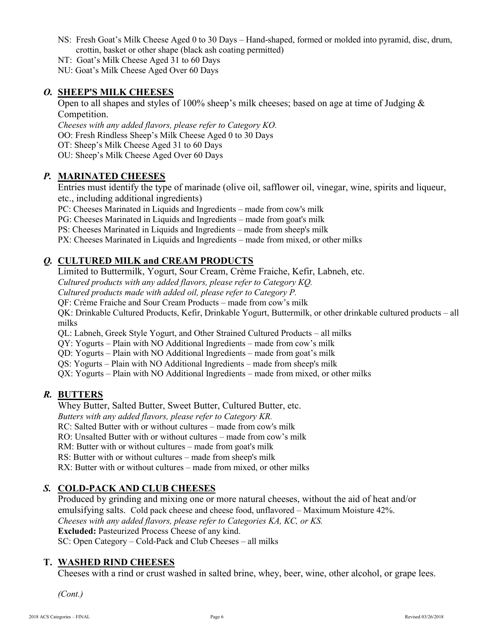- NS: Fresh Goat's Milk Cheese Aged 0 to 30 Days Hand-shaped, formed or molded into pyramid, disc, drum, crottin, basket or other shape (black ash coating permitted)
- NT: Goat's Milk Cheese Aged 31 to 60 Days

NU: Goat's Milk Cheese Aged Over 60 Days

### *O.* **SHEEP'S MILK CHEESES**

Open to all shapes and styles of 100% sheep's milk cheeses; based on age at time of Judging & Competition.

*Cheeses with any added flavors, please refer to Category KO.* OO: Fresh Rindless Sheep's Milk Cheese Aged 0 to 30 Days OT: Sheep's Milk Cheese Aged 31 to 60 Days OU: Sheep's Milk Cheese Aged Over 60 Days

#### *P.* **MARINATED CHEESES**

Entries must identify the type of marinade (olive oil, safflower oil, vinegar, wine, spirits and liqueur, etc., including additional ingredients)

PC: Cheeses Marinated in Liquids and Ingredients – made from cow's milk

PG: Cheeses Marinated in Liquids and Ingredients – made from goat's milk

PS: Cheeses Marinated in Liquids and Ingredients – made from sheep's milk

PX: Cheeses Marinated in Liquids and Ingredients – made from mixed, or other milks

## *Q.* **CULTURED MILK and CREAM PRODUCTS**

Limited to Buttermilk, Yogurt, Sour Cream, Crème Fraiche, Kefir, Labneh, etc.

*Cultured products with any added flavors, please refer to Category KQ.*

*Cultured products made with added oil, please refer to Category P.*

QF: Crème Fraiche and Sour Cream Products – made from cow's milk

QK: Drinkable Cultured Products, Kefir, Drinkable Yogurt, Buttermilk, or other drinkable cultured products – all milks

QL: Labneh, Greek Style Yogurt, and Other Strained Cultured Products – all milks

QY: Yogurts – Plain with NO Additional Ingredients – made from cow's milk

QD: Yogurts – Plain with NO Additional Ingredients – made from goat's milk

QS: Yogurts – Plain with NO Additional Ingredients – made from sheep's milk

QX: Yogurts – Plain with NO Additional Ingredients – made from mixed, or other milks

## *R.* **BUTTERS**

Whey Butter, Salted Butter, Sweet Butter, Cultured Butter, etc.

*Butters with any added flavors, please refer to Category KR.*

RC: Salted Butter with or without cultures – made from cow's milk

RO: Unsalted Butter with or without cultures – made from cow's milk

RM: Butter with or without cultures – made from goat's milk

RS: Butter with or without cultures – made from sheep's milk

RX: Butter with or without cultures – made from mixed, or other milks

## *S.* **COLD-PACK AND CLUB CHEESES**

Produced by grinding and mixing one or more natural cheeses, without the aid of heat and/or emulsifying salts. Cold pack cheese and cheese food, unflavored – Maximum Moisture 42%. *Cheeses with any added flavors, please refer to Categories KA, KC, or KS.* **Excluded:** Pasteurized Process Cheese of any kind. SC: Open Category – Cold-Pack and Club Cheeses – all milks

#### **T. WASHED RIND CHEESES**

Cheeses with a rind or crust washed in salted brine, whey, beer, wine, other alcohol, or grape lees.

*(Cont.)*